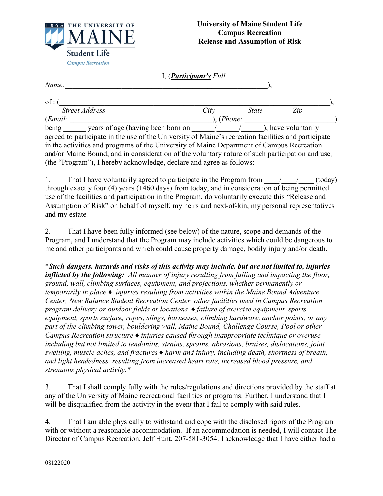

| I, <i>(Participant's Full</i> |  |
|-------------------------------|--|
|                               |  |

*Name:* (*),* 

| $of:$ (                                                                                             |         |  |              |                     |  |  |  |
|-----------------------------------------------------------------------------------------------------|---------|--|--------------|---------------------|--|--|--|
| <b>Street Address</b>                                                                               | City    |  | <i>State</i> | Zip                 |  |  |  |
| (Email:                                                                                             | (Phone: |  |              |                     |  |  |  |
| being<br>years of age (having been born on                                                          |         |  |              | ), have voluntarily |  |  |  |
| agreed to participate in the use of the University of Maine's recreation facilities and participate |         |  |              |                     |  |  |  |
| in the activities and programs of the University of Maine Department of Campus Recreation           |         |  |              |                     |  |  |  |
| and/or Maine Bound, and in consideration of the voluntary nature of such participation and use,     |         |  |              |                     |  |  |  |
| (the "Program"), I hereby acknowledge, declare and agree as follows:                                |         |  |              |                     |  |  |  |

1. That I have voluntarily agreed to participate in the Program from  $\frac{1}{\sqrt{2}}$  (today) through exactly four (4) years (1460 days) from today, and in consideration of being permitted use of the facilities and participation in the Program, do voluntarily execute this "Release and Assumption of Risk" on behalf of myself, my heirs and next-of-kin, my personal representatives and my estate.

2. That I have been fully informed (see below) of the nature, scope and demands of the Program, and I understand that the Program may include activities which could be dangerous to me and other participants and which could cause property damage, bodily injury and/or death.

\**Such dangers, hazards and risks of this activity may include, but are not limited to, injuries inflicted by the following: All manner of injury resulting from falling and impacting the floor, ground, wall, climbing surfaces, equipment, and projections, whether permanently or temporarily in place ♦ injuries resulting from activities within the Maine Bound Adventure Center, New Balance Student Recreation Center, other facilities used in Campus Recreation program delivery or outdoor fields or locations ♦ failure of exercise equipment, sports equipment, sports surface, ropes, slings, harnesses, climbing hardware, anchor points, or any part of the climbing tower, bouldering wall, Maine Bound, Challenge Course, Pool or other Campus Recreation structure ♦ injuries caused through inappropriate technique or overuse including but not limited to tendonitis, strains, sprains, abrasions, bruises, dislocations, joint swelling, muscle aches, and fractures ♦ harm and injury, including death, shortness of breath, and light headedness, resulting from increased heart rate, increased blood pressure, and strenuous physical activity.\**

3. That I shall comply fully with the rules/regulations and directions provided by the staff at any of the University of Maine recreational facilities or programs. Further, I understand that I will be disqualified from the activity in the event that I fail to comply with said rules.

4. That I am able physically to withstand and cope with the disclosed rigors of the Program with or without a reasonable accommodation. If an accommodation is needed, I will contact The Director of Campus Recreation, Jeff Hunt, 207-581-3054. I acknowledge that I have either had a